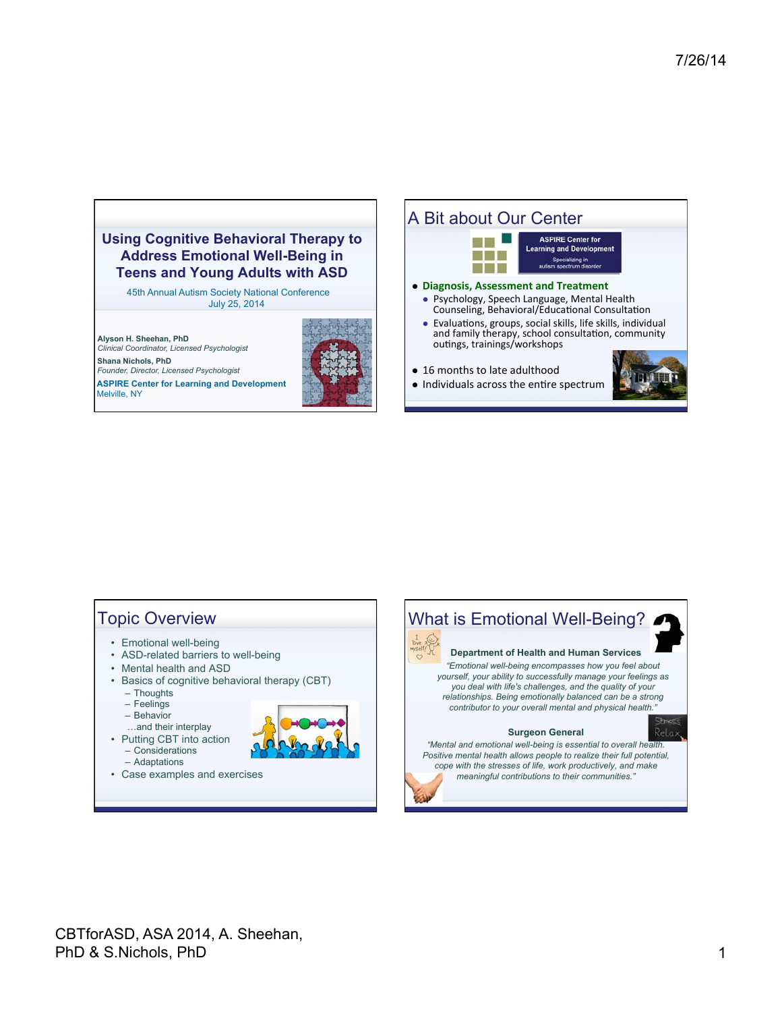

45th Annual Autism Society National Conference July 25, 2014

**Alyson H. Sheehan, PhD**  *Clinical Coordinator, Licensed Psychologist* 

**Shana Nichols, PhD**  *Founder, Director, Licensed Psychologist*  **ASPIRE Center for Learning and Development**  Melville, NY



# A Bit about Our Center



- outings, trainings/workshops
- 16 months to late adulthood
- $\bullet$  Individuals across the entire spectrum



# Topic Overview

- Emotional well-being
- ASD-related barriers to well-being
- Mental health and ASD
- Basics of cognitive behavioral therapy (CBT)
	- Thoughts
	- Feelings
	- Behavior
	- …and their interplay
- Putting CBT into action – Considerations – Adaptations



• Case examples and exercises

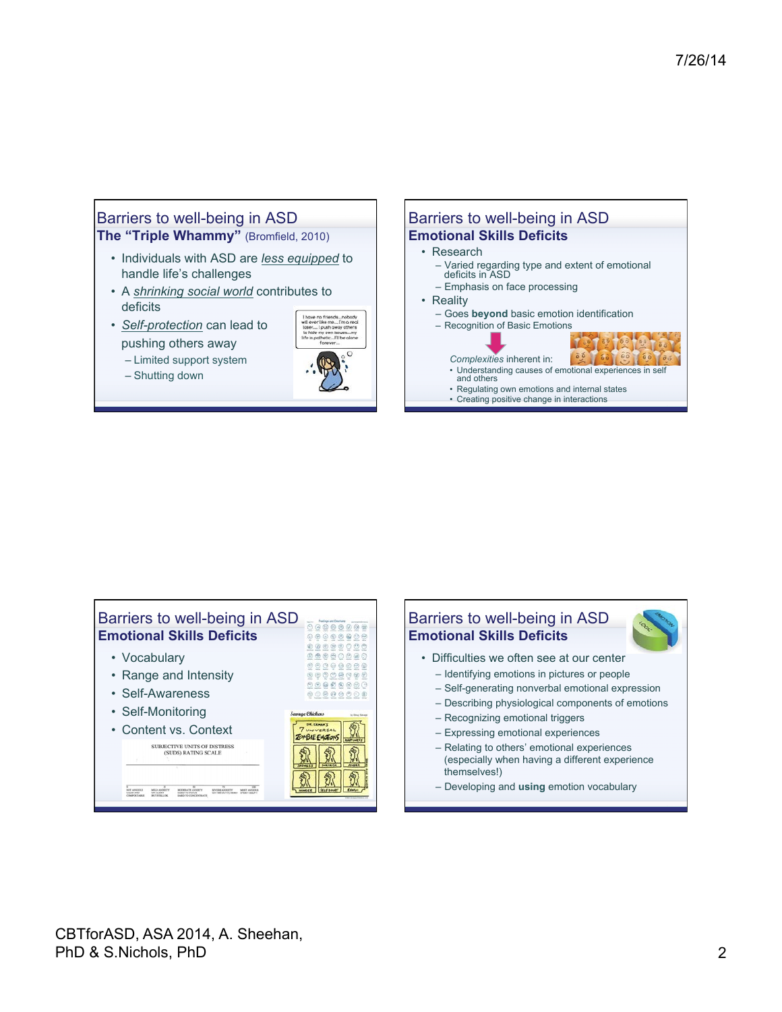# Barriers to well-being in ASD **The "Triple Whammy"** (Bromfield, 2010)

- Individuals with ASD are *less equipped* to handle life's challenges
- A *shrinking social world* contributes to deficits
- *Self-protection* can lead to pushing others away
	- Limited support system
	- Shutting down



#### Barriers to well-being in ASD **Emotional Skills Deficits**  • Research

- Varied regarding type and extent of emotional deficits in ASD
- Emphasis on face processing
- Reality
	- Goes **beyond** basic emotion identification
	- Recognition of Basic Emotions
		- *Complexities* inherent in: l õ é
	- Understanding causes of emotional experiences in self and others • Regulating own emotions and internal states
	- Creating positive change in interactions



#### • Difficulties we often see at our center – Identifying emotions in pictures or people – Self-generating nonverbal emotional expression – Describing physiological components of emotions – Recognizing emotional triggers – Expressing emotional experiences – Relating to others' emotional experiences (especially when having a different experience themselves!) – Developing and **using** emotion vocabulary Barriers to well-being in ASD **Emotional Skills Deficits**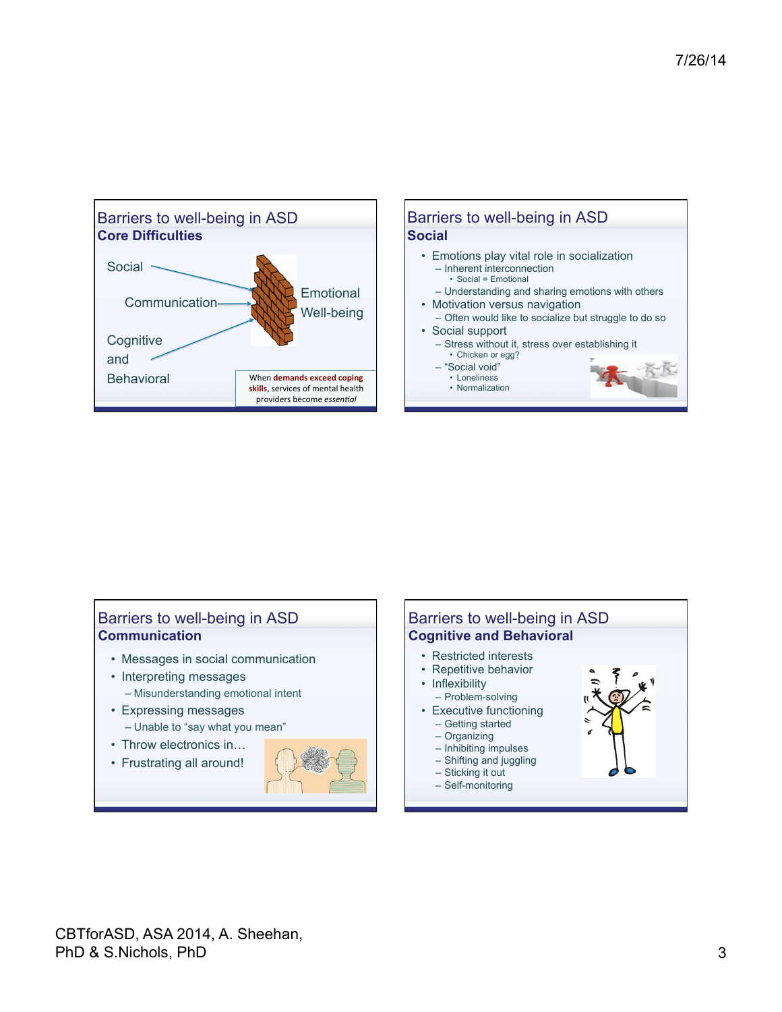

## Barriers to well-being in ASD **Communication**

- Messages in social communication
- Interpreting messages – Misunderstanding emotional intent
- Expressing messages – Unable to "say what you mean"
- 
- Throw electronics in… • Frustrating all around!
- 

#### Barriers to well-being in ASD **Cognitive and Behavioral**  • Restricted interests • Repetitive behavior • Inflexibility – Problem-solving • Executive functioning – Getting started – Organizing – Inhibiting impulses – Shifting and juggling – Sticking it out – Self-monitoring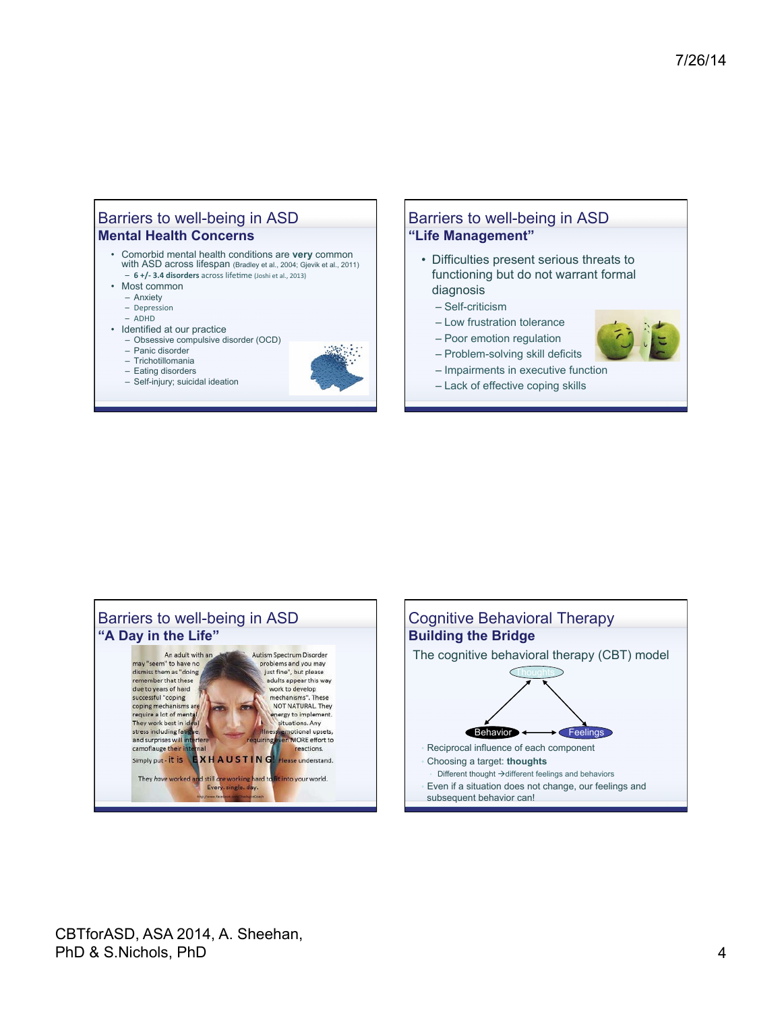## Barriers to well-being in ASD **Mental Health Concerns**

- Comorbid mental health conditions are **very** common with ASD across lifespan (Bradley et al., 2004; Gjevik et al., 2011) - **6 +/- 3.4 disorders** across lifetime (Joshi et al., 2013)
- Most common
	- Anxiety
	- Depression
	- ADHD
	-
- Identified at our practice – Obsessive compulsive disorder (OCD)
	- Panic disorder
	-
	- Trichotillomania – Eating disorders
	- Self-injury; suicidal ideation



#### Barriers to well-being in ASD **"Life Management"**

- Difficulties present serious threats to functioning but do not warrant formal diagnosis
	- Self-criticism
	- Low frustration tolerance
	- Poor emotion regulation
	- Problem-solving skill deficits
	- Impairments in executive function
	- Lack of effective coping skills





CBTforASD, ASA 2014, A. Sheehan, PhD & S.Nichols, PhD 4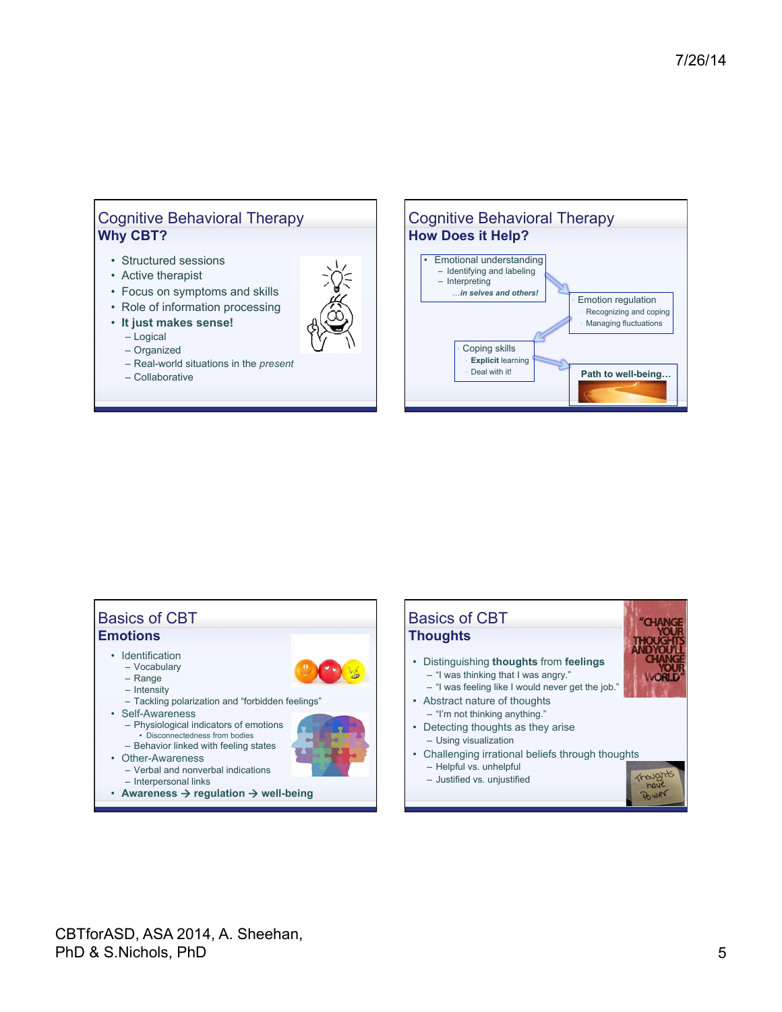## Cognitive Behavioral Therapy **Why CBT?**

- Structured sessions
- Active therapist
- Focus on symptoms and skills
- Role of information processing
- **It just makes sense!**
	- Logical
	- Organized
	- Real-world situations in the *present*
	- Collaborative



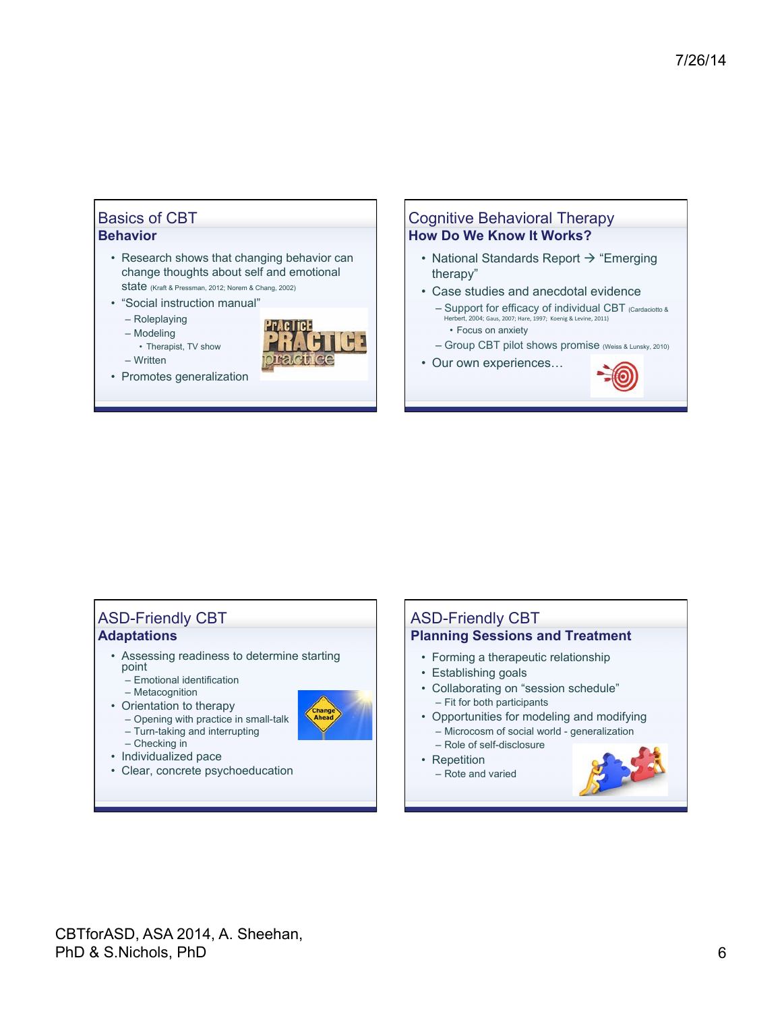### Basics of CBT **Behavior**

- Research shows that changing behavior can change thoughts about self and emotional state (Kraft & Pressman, 2012; Norem & Chang, 2002)
- "Social instruction manual"
	- Roleplaying
	- Modeling
	- Therapist, TV show – Written
- Promotes generalization



### Cognitive Behavioral Therapy **How Do We Know It Works?**

- National Standards Report  $\rightarrow$  "Emerging therapy"
- Case studies and anecdotal evidence
	- Support for efficacy of individual CBT (Cardaciotto & ert, 2004; Gaus, 2007; Hare, 1997; Koenig & Levine, 2011) • Focus on anxiety
	- Group CBT pilot shows promise (Weiss & Lunsky, 2010)
- Our own experiences…



## ASD-Friendly CBT **Adaptations**

- Assessing readiness to determine starting point
	- Emotional identification
- Metacognition
- Orientation to therapy
	- Opening with practice in small-talk – Turn-taking and interrupting
- - Checking in
- Individualized pace
- Clear, concrete psychoeducation

# ASD-Friendly CBT **Planning Sessions and Treatment**

- Forming a therapeutic relationship
- Establishing goals
- Collaborating on "session schedule" – Fit for both participants
- Opportunities for modeling and modifying – Microcosm of social world - generalization – Role of self-disclosure
- Repetition
- Rote and varied

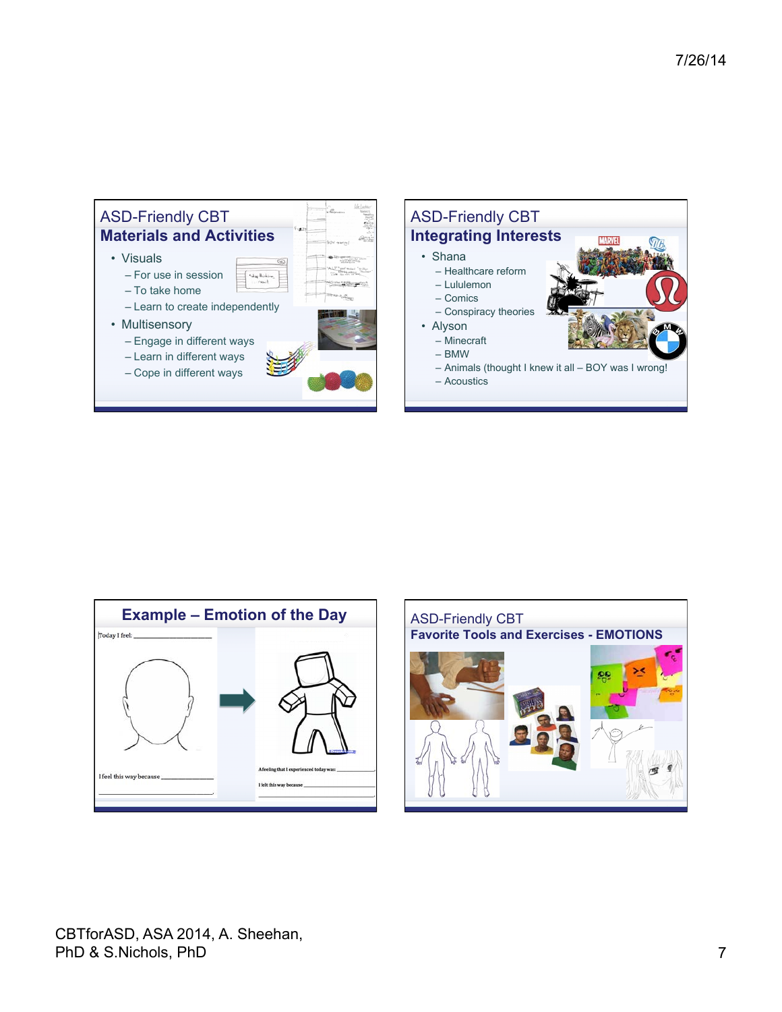





CBTforASD, ASA 2014, A. Sheehan, PhD & S.Nichols, PhD 7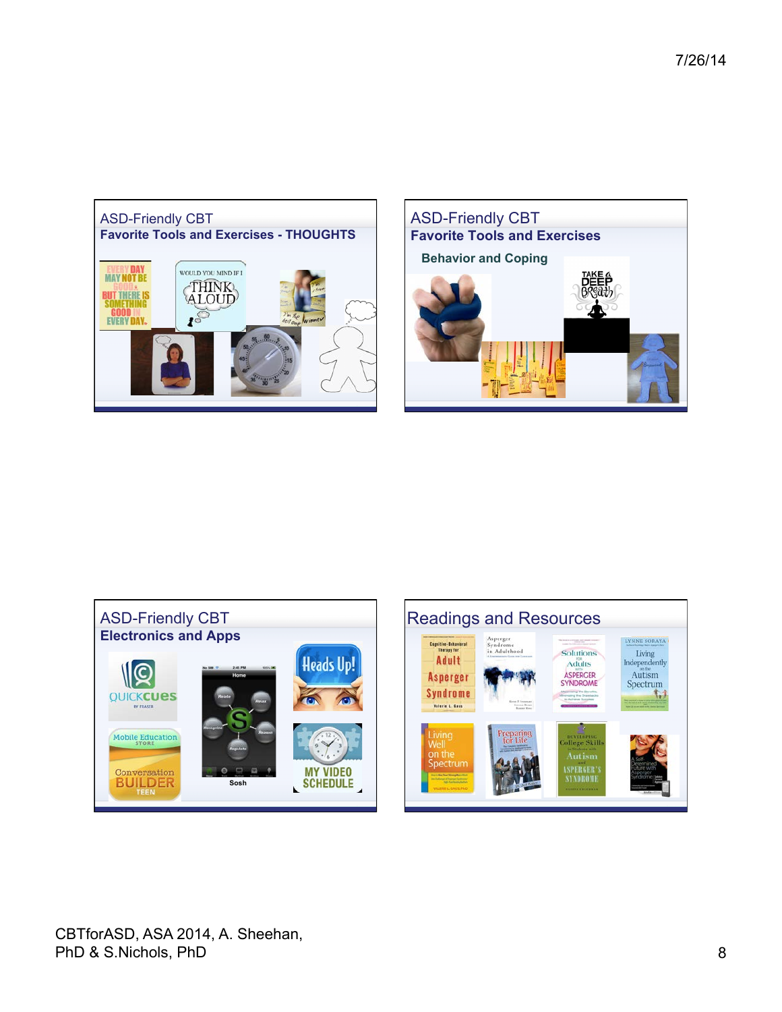







CBTforASD, ASA 2014, A. Sheehan, PhD & S.Nichols, PhD 8